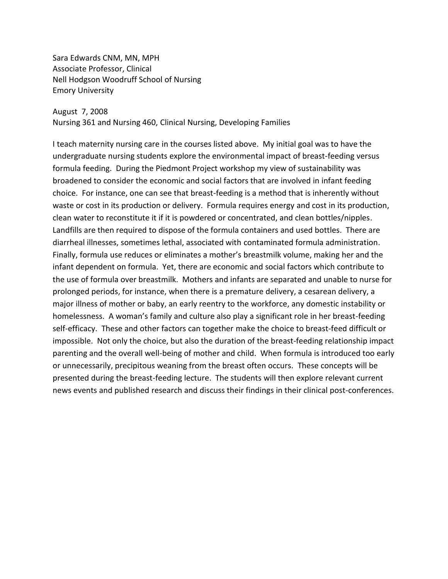Sara Edwards CNM, MN, MPH Associate Professor, Clinical Nell Hodgson Woodruff School of Nursing Emory University

#### August 7, 2008

Nursing 361 and Nursing 460, Clinical Nursing, Developing Families

I teach maternity nursing care in the courses listed above. My initial goal was to have the undergraduate nursing students explore the environmental impact of breast-feeding versus formula feeding. During the Piedmont Project workshop my view of sustainability was broadened to consider the economic and social factors that are involved in infant feeding choice. For instance, one can see that breast-feeding is a method that is inherently without waste or cost in its production or delivery. Formula requires energy and cost in its production, clean water to reconstitute it if it is powdered or concentrated, and clean bottles/nipples. Landfills are then required to dispose of the formula containers and used bottles. There are diarrheal illnesses, sometimes lethal, associated with contaminated formula administration. Finally, formula use reduces or eliminates a mother's breastmilk volume, making her and the infant dependent on formula. Yet, there are economic and social factors which contribute to the use of formula over breastmilk. Mothers and infants are separated and unable to nurse for prolonged periods, for instance, when there is a premature delivery, a cesarean delivery, a major illness of mother or baby, an early reentry to the workforce, any domestic instability or homelessness. A woman's family and culture also play a significant role in her breast-feeding self-efficacy. These and other factors can together make the choice to breast-feed difficult or impossible. Not only the choice, but also the duration of the breast-feeding relationship impact parenting and the overall well-being of mother and child. When formula is introduced too early or unnecessarily, precipitous weaning from the breast often occurs. These concepts will be presented during the breast-feeding lecture. The students will then explore relevant current news events and published research and discuss their findings in their clinical post-conferences.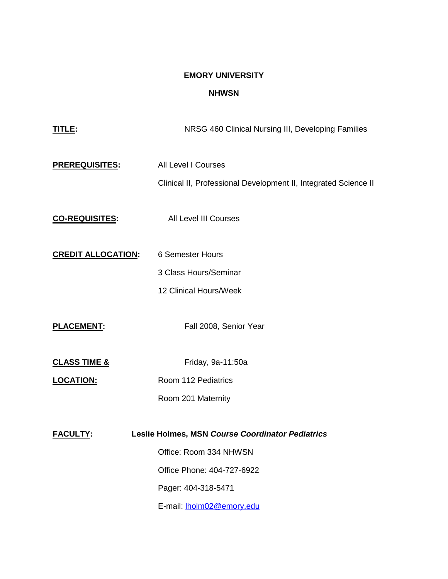# **EMORY UNIVERSITY**

## **NHWSN**

| TITLE:                    | NRSG 460 Clinical Nursing III, Developing Families                                            |  |
|---------------------------|-----------------------------------------------------------------------------------------------|--|
| <b>PREREQUISITES:</b>     | <b>All Level I Courses</b><br>Clinical II, Professional Development II, Integrated Science II |  |
| <b>CO-REQUISITES:</b>     | <b>All Level III Courses</b>                                                                  |  |
| <b>CREDIT ALLOCATION:</b> | 6 Semester Hours                                                                              |  |
|                           | 3 Class Hours/Seminar                                                                         |  |
|                           | 12 Clinical Hours/Week                                                                        |  |
| <b>PLACEMENT:</b>         | Fall 2008, Senior Year                                                                        |  |
| <b>CLASS TIME &amp;</b>   | Friday, 9a-11:50a                                                                             |  |
| <b>LOCATION:</b>          | Room 112 Pediatrics                                                                           |  |
|                           | Room 201 Maternity                                                                            |  |
| <b>FACULTY:</b>           | Leslie Holmes, MSN Course Coordinator Pediatrics                                              |  |
|                           | Office: Room 334 NHWSN                                                                        |  |
|                           | Office Phone: 404-727-6922                                                                    |  |
|                           | Pager: 404-318-5471                                                                           |  |
|                           | E-mail: <b>Iholm02@emory.edu</b>                                                              |  |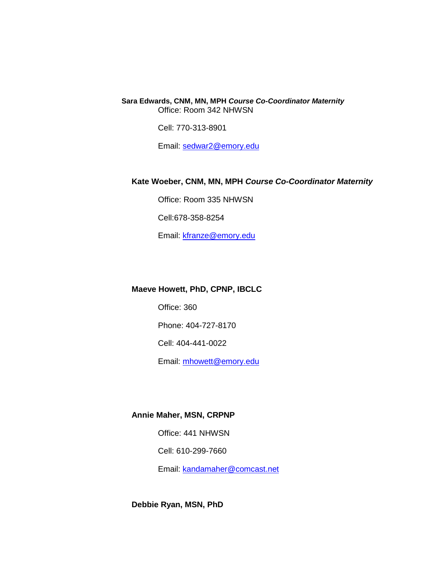**Sara Edwards, CNM, MN, MPH** *Course Co-Coordinator Maternity* Office: Room 342 NHWSN

Cell: 770-313-8901

Email: [sedwar2@emory.edu](mailto:sedwar2@emory.edu)

### **Kate Woeber, CNM, MN, MPH** *Course Co-Coordinator Maternity*

Office: Room 335 NHWSN

Cell:678-358-8254

Email: [kfranze@emory.edu](mailto:kfranze@emory.edu)

## **Maeve Howett, PhD, CPNP, IBCLC**

Office: 360

Phone: 404-727-8170

Cell: 404-441-0022

Email: [mhowett@emory.edu](mailto:%20mhowett@emory.edu)

### **Annie Maher, MSN, CRPNP**

Office: 441 NHWSN

Cell: 610-299-7660

Email: [kandamaher@comcast.net](mailto:kandamaher@comcast.net)

**Debbie Ryan, MSN, PhD**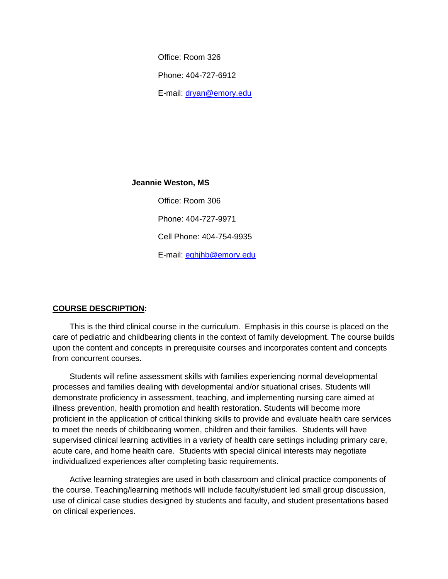Office: Room 326 Phone: 404-727-6912

E-mail: [dryan@emory.edu](mailto:dryan@emory.edu)

**Jeannie Weston, MS**

Office: Room 306 Phone: 404-727-9971 Cell Phone: 404-754-9935 E-mail: [eghjhb@emory.edu](mailto:%20eghjhb@emory.edu)

### **COURSE DESCRIPTION:**

This is the third clinical course in the curriculum. Emphasis in this course is placed on the care of pediatric and childbearing clients in the context of family development. The course builds upon the content and concepts in prerequisite courses and incorporates content and concepts from concurrent courses.

Students will refine assessment skills with families experiencing normal developmental processes and families dealing with developmental and/or situational crises. Students will demonstrate proficiency in assessment, teaching, and implementing nursing care aimed at illness prevention, health promotion and health restoration. Students will become more proficient in the application of critical thinking skills to provide and evaluate health care services to meet the needs of childbearing women, children and their families. Students will have supervised clinical learning activities in a variety of health care settings including primary care, acute care, and home health care. Students with special clinical interests may negotiate individualized experiences after completing basic requirements.

Active learning strategies are used in both classroom and clinical practice components of the course. Teaching/learning methods will include faculty/student led small group discussion, use of clinical case studies designed by students and faculty, and student presentations based on clinical experiences.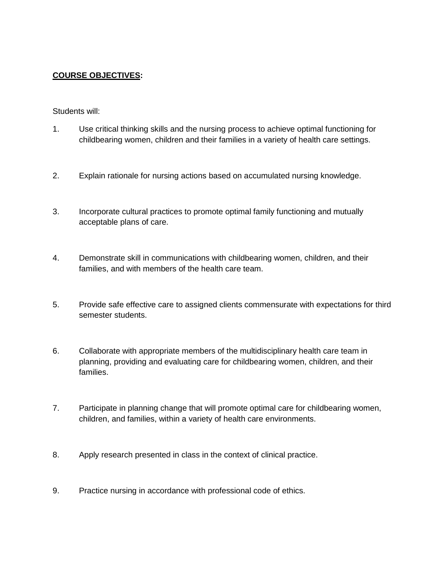## **COURSE OBJECTIVES:**

### Students will:

- 1. Use critical thinking skills and the nursing process to achieve optimal functioning for childbearing women, children and their families in a variety of health care settings.
- 2. Explain rationale for nursing actions based on accumulated nursing knowledge.
- 3. Incorporate cultural practices to promote optimal family functioning and mutually acceptable plans of care.
- 4. Demonstrate skill in communications with childbearing women, children, and their families, and with members of the health care team.
- 5. Provide safe effective care to assigned clients commensurate with expectations for third semester students.
- 6. Collaborate with appropriate members of the multidisciplinary health care team in planning, providing and evaluating care for childbearing women, children, and their families.
- 7. Participate in planning change that will promote optimal care for childbearing women, children, and families, within a variety of health care environments.
- 8. Apply research presented in class in the context of clinical practice.
- 9. Practice nursing in accordance with professional code of ethics.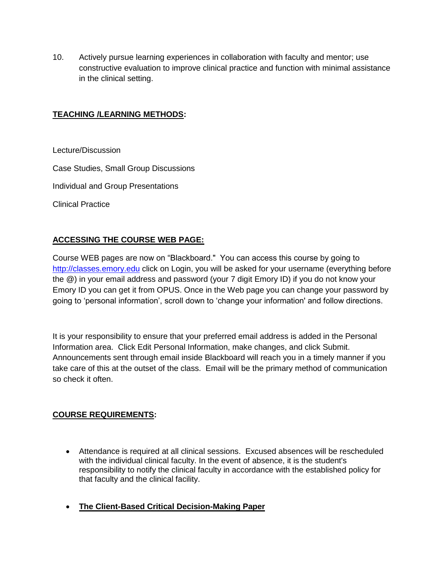10. Actively pursue learning experiences in collaboration with faculty and mentor; use constructive evaluation to improve clinical practice and function with minimal assistance in the clinical setting.

## **TEACHING /LEARNING METHODS:**

Lecture/Discussion

Case Studies, Small Group Discussions

Individual and Group Presentations

Clinical Practice

## **ACCESSING THE COURSE WEB PAGE:**

Course WEB pages are now on "Blackboard." You can access this course by going to [http://classes.emory.edu](http://classes.emory.edu/) click on Login, you will be asked for your username (everything before the @) in your email address and password (your 7 digit Emory ID) if you do not know your Emory ID you can get it from OPUS. Once in the Web page you can change your password by going to "personal information", scroll down to "change your information' and follow directions.

It is your responsibility to ensure that your preferred email address is added in the Personal Information area. Click Edit Personal Information, make changes, and click Submit. Announcements sent through email inside Blackboard will reach you in a timely manner if you take care of this at the outset of the class. Email will be the primary method of communication so check it often.

### **COURSE REQUIREMENTS:**

- Attendance is required at all clinical sessions. Excused absences will be rescheduled with the individual clinical faculty. In the event of absence, it is the student's responsibility to notify the clinical faculty in accordance with the established policy for that faculty and the clinical facility.
- **The Client-Based Critical Decision-Making Paper**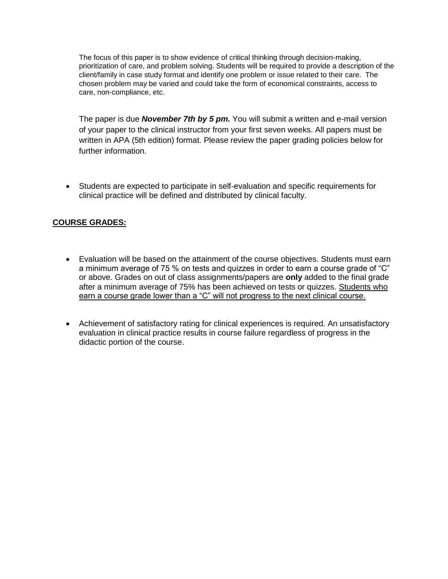The focus of this paper is to show evidence of critical thinking through decision-making, prioritization of care, and problem solving. Students will be required to provide a description of the client/family in case study format and identify one problem or issue related to their care. The chosen problem may be varied and could take the form of economical constraints, access to care, non-compliance, etc.

The paper is due *November 7th by 5 pm.* You will submit a written and e-mail version of your paper to the clinical instructor from your first seven weeks. All papers must be written in APA (5th edition) format. Please review the paper grading policies below for further information.

 Students are expected to participate in self-evaluation and specific requirements for clinical practice will be defined and distributed by clinical faculty.

## **COURSE GRADES:**

- Evaluation will be based on the attainment of the course objectives. Students must earn a minimum average of 75 % on tests and quizzes in order to earn a course grade of "C" or above. Grades on out of class assignments/papers are **only** added to the final grade after a minimum average of 75% has been achieved on tests or quizzes. Students who earn a course grade lower than a "C" will not progress to the next clinical course.
- Achievement of satisfactory rating for clinical experiences is required. An unsatisfactory evaluation in clinical practice results in course failure regardless of progress in the didactic portion of the course.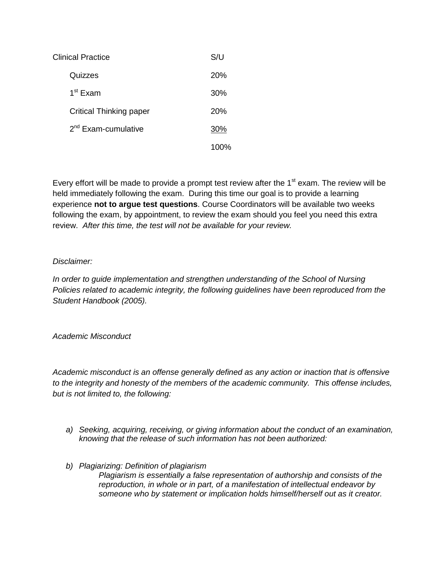| Clinical Practice              | S/U        |
|--------------------------------|------------|
| Quizzes                        | <b>20%</b> |
| 1 <sup>st</sup> Exam           | 30%        |
| <b>Critical Thinking paper</b> | 20%        |
| $2nd$ Exam-cumulative          | 30%        |
|                                | 100%       |

Every effort will be made to provide a prompt test review after the  $1<sup>st</sup>$  exam. The review will be held immediately following the exam. During this time our goal is to provide a learning experience **not to argue test questions**. Course Coordinators will be available two weeks following the exam, by appointment, to review the exam should you feel you need this extra review. *After this time, the test will not be available for your review.*

## *Disclaimer:*

*In order to guide implementation and strengthen understanding of the School of Nursing Policies related to academic integrity, the following guidelines have been reproduced from the Student Handbook (2005).*

*Academic Misconduct* 

*Academic misconduct is an offense generally defined as any action or inaction that is offensive to the integrity and honesty of the members of the academic community. This offense includes, but is not limited to, the following:*

- *a) Seeking, acquiring, receiving, or giving information about the conduct of an examination, knowing that the release of such information has not been authorized:*
- *b) Plagiarizing: Definition of plagiarism Plagiarism is essentially a false representation of authorship and consists of the reproduction, in whole or in part, of a manifestation of intellectual endeavor by someone who by statement or implication holds himself/herself out as it creator.*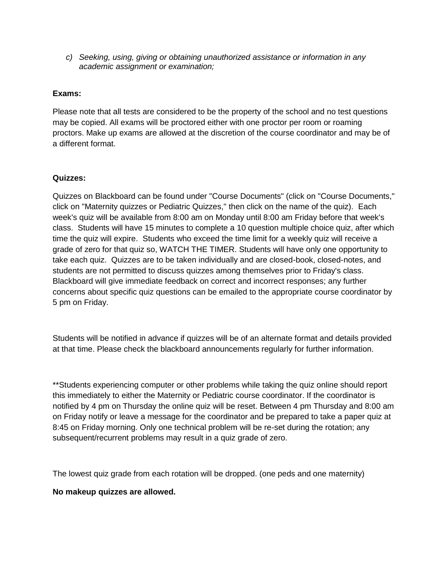*c) Seeking, using, giving or obtaining unauthorized assistance or information in any academic assignment or examination;* 

### **Exams:**

Please note that all tests are considered to be the property of the school and no test questions may be copied. All exams will be proctored either with one proctor per room or roaming proctors. Make up exams are allowed at the discretion of the course coordinator and may be of a different format.

### **Quizzes:**

Quizzes on Blackboard can be found under "Course Documents" (click on "Course Documents," click on "Maternity quizzes or Pediatric Quizzes," then click on the name of the quiz). Each week's quiz will be available from 8:00 am on Monday until 8:00 am Friday before that week's class. Students will have 15 minutes to complete a 10 question multiple choice quiz, after which time the quiz will expire. Students who exceed the time limit for a weekly quiz will receive a grade of zero for that quiz so, WATCH THE TIMER. Students will have only one opportunity to take each quiz. Quizzes are to be taken individually and are closed-book, closed-notes, and students are not permitted to discuss quizzes among themselves prior to Friday's class. Blackboard will give immediate feedback on correct and incorrect responses; any further concerns about specific quiz questions can be emailed to the appropriate course coordinator by 5 pm on Friday.

Students will be notified in advance if quizzes will be of an alternate format and details provided at that time. Please check the blackboard announcements regularly for further information.

\*\*Students experiencing computer or other problems while taking the quiz online should report this immediately to either the Maternity or Pediatric course coordinator. If the coordinator is notified by 4 pm on Thursday the online quiz will be reset. Between 4 pm Thursday and 8:00 am on Friday notify or leave a message for the coordinator and be prepared to take a paper quiz at 8:45 on Friday morning. Only one technical problem will be re-set during the rotation; any subsequent/recurrent problems may result in a quiz grade of zero.

The lowest quiz grade from each rotation will be dropped. (one peds and one maternity)

### **No makeup quizzes are allowed.**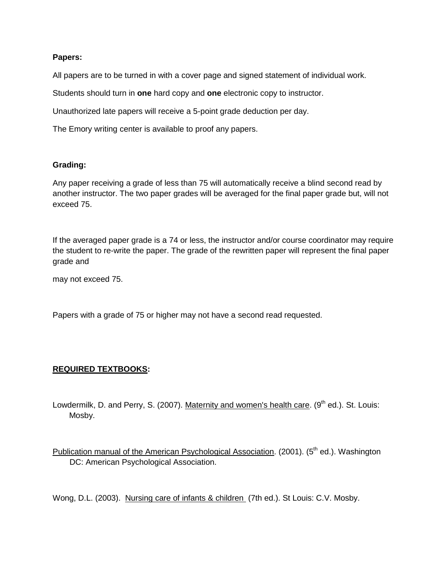## **Papers:**

All papers are to be turned in with a cover page and signed statement of individual work.

Students should turn in **one** hard copy and **one** electronic copy to instructor.

Unauthorized late papers will receive a 5-point grade deduction per day.

The Emory writing center is available to proof any papers.

## **Grading:**

Any paper receiving a grade of less than 75 will automatically receive a blind second read by another instructor. The two paper grades will be averaged for the final paper grade but, will not exceed 75.

If the averaged paper grade is a 74 or less, the instructor and/or course coordinator may require the student to re-write the paper. The grade of the rewritten paper will represent the final paper grade and

may not exceed 75.

Papers with a grade of 75 or higher may not have a second read requested.

## **REQUIRED TEXTBOOKS:**

Lowdermilk, D. and Perry, S. (2007). Maternity and women's health care.  $(9<sup>th</sup>$  ed.). St. Louis: Mosby.

Publication manual of the American Psychological Association. (2001). (5<sup>th</sup> ed.). Washington DC: American Psychological Association.

Wong, D.L. (2003). Nursing care of infants & children (7th ed.). St Louis: C.V. Mosby.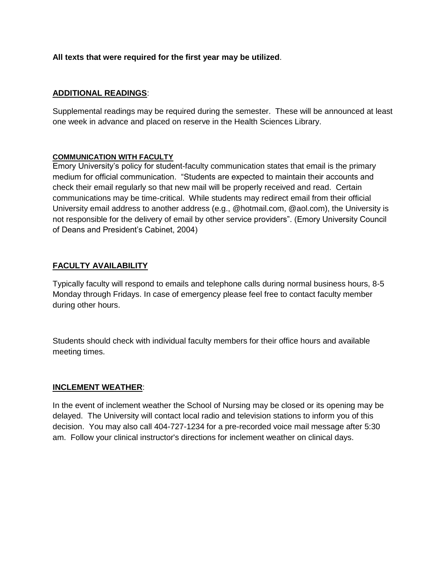## **All texts that were required for the first year may be utilized**.

## **ADDITIONAL READINGS**:

Supplemental readings may be required during the semester. These will be announced at least one week in advance and placed on reserve in the Health Sciences Library.

### **COMMUNICATION WITH FACULTY**

Emory University"s policy for student-faculty communication states that email is the primary medium for official communication. "Students are expected to maintain their accounts and check their email regularly so that new mail will be properly received and read. Certain communications may be time-critical. While students may redirect email from their official University email address to another address (e.g., @hotmail.com, @aol.com), the University is not responsible for the delivery of email by other service providers". (Emory University Council of Deans and President"s Cabinet, 2004)

### **FACULTY AVAILABILITY**

Typically faculty will respond to emails and telephone calls during normal business hours, 8-5 Monday through Fridays. In case of emergency please feel free to contact faculty member during other hours.

Students should check with individual faculty members for their office hours and available meeting times.

### **INCLEMENT WEATHER**:

In the event of inclement weather the School of Nursing may be closed or its opening may be delayed. The University will contact local radio and television stations to inform you of this decision. You may also call 404-727-1234 for a pre-recorded voice mail message after 5:30 am. Follow your clinical instructor's directions for inclement weather on clinical days.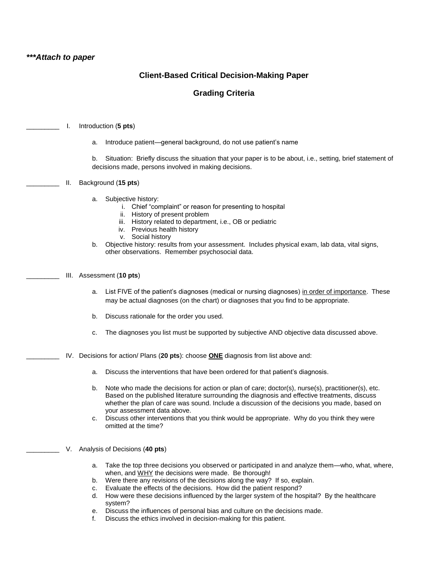### **Client-Based Critical Decision-Making Paper**

### **Grading Criteria**

- \_\_\_\_\_\_\_\_\_ I. Introduction (**5 pts**)
	- a. Introduce patient—general background, do not use patient"s name

b. Situation: Briefly discuss the situation that your paper is to be about, i.e., setting, brief statement of decisions made, persons involved in making decisions.

- \_\_\_\_\_\_\_\_\_ II. Background (**15 pts**)
	- a. Subjective history:
		- i. Chief "complaint" or reason for presenting to hospital
		- ii. History of present problem
		- iii. History related to department, i.e., OB or pediatric
		- iv. Previous health history
		- v. Social history
	- b. Objective history: results from your assessment. Includes physical exam, lab data, vital signs, other observations. Remember psychosocial data.
- \_\_\_\_\_\_\_\_\_ III. Assessment (**10 pts**)
	- a. List FIVE of the patient"s diagnoses (medical or nursing diagnoses) in order of importance. These may be actual diagnoses (on the chart) or diagnoses that you find to be appropriate.
	- b. Discuss rationale for the order you used.
	- c. The diagnoses you list must be supported by subjective AND objective data discussed above.
- \_\_\_\_\_\_\_\_\_ IV. Decisions for action/ Plans (**20 pts**): choose **ONE** diagnosis from list above and:
	- a. Discuss the interventions that have been ordered for that patient"s diagnosis.
	- b. Note who made the decisions for action or plan of care; doctor(s), nurse(s), practitioner(s), etc. Based on the published literature surrounding the diagnosis and effective treatments, discuss whether the plan of care was sound. Include a discussion of the decisions you made, based on your assessment data above.
	- c. Discuss other interventions that you think would be appropriate. Why do you think they were omitted at the time?
- \_\_\_\_\_\_\_\_\_ V. Analysis of Decisions (**40 pts**)
	- a. Take the top three decisions you observed or participated in and analyze them—who, what, where, when, and WHY the decisions were made. Be thorough!
	- b. Were there any revisions of the decisions along the way? If so, explain.
	- c. Evaluate the effects of the decisions. How did the patient respond?
	- d. How were these decisions influenced by the larger system of the hospital? By the healthcare system?
	- e. Discuss the influences of personal bias and culture on the decisions made.
	- f. Discuss the ethics involved in decision-making for this patient.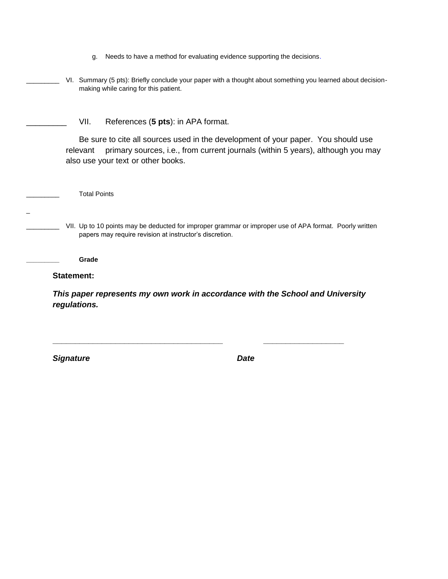| Needs to have a method for evaluating evidence supporting the decisions. |  |
|--------------------------------------------------------------------------|--|
|                                                                          |  |
|                                                                          |  |
|                                                                          |  |

VI. Summary (5 pts): Briefly conclude your paper with a thought about something you learned about decisionmaking while caring for this patient.

VII. References (5 pts): in APA format.

Be sure to cite all sources used in the development of your paper. You should use relevant primary sources, i.e., from current journals (within 5 years), although you may also use your text or other books.

\_\_\_\_\_\_\_\_\_ Total Points

VII. Up to 10 points may be deducted for improper grammar or improper use of APA format. Poorly written papers may require revision at instructor's discretion.

**\_\_\_\_\_\_\_\_\_ Grade**

**Statement:**

\_

*This paper represents my own work in accordance with the School and University regulations.*

**\_\_\_\_\_\_\_\_\_\_\_\_\_\_\_\_\_\_\_\_\_\_\_\_\_\_\_\_\_\_\_\_\_\_\_\_\_\_ \_\_\_\_\_\_\_\_\_\_\_\_\_\_\_\_\_\_**

*Signature Date*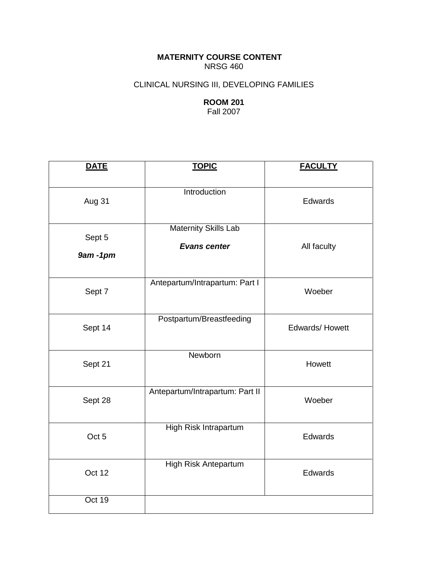**MATERNITY COURSE CONTENT** NRSG 460

## CLINICAL NURSING III, DEVELOPING FAMILIES

## **ROOM 201** Fall 2007

| <b>DATE</b>           | <b>TOPIC</b>                                       | <b>FACULTY</b> |
|-----------------------|----------------------------------------------------|----------------|
| Aug 31                | Introduction                                       | Edwards        |
| Sept 5<br>$9am - 1pm$ | <b>Maternity Skills Lab</b><br><b>Evans center</b> | All faculty    |
| Sept 7                | Antepartum/Intrapartum: Part I                     | Woeber         |
| Sept 14               | Postpartum/Breastfeeding                           | Edwards/Howett |
| Sept 21               | Newborn                                            | Howett         |
| Sept 28               | Antepartum/Intrapartum: Part II                    | Woeber         |
| Oct 5                 | High Risk Intrapartum                              | Edwards        |
| Oct 12                | High Risk Antepartum                               | Edwards        |
| Oct 19                |                                                    |                |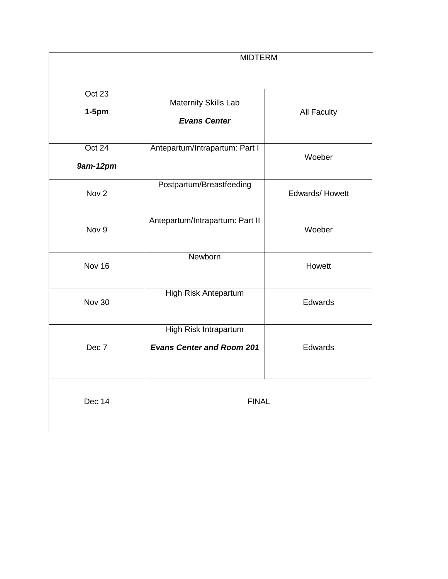|                    | <b>MIDTERM</b>                                            |                    |
|--------------------|-----------------------------------------------------------|--------------------|
| Oct 23<br>$1-5$ pm | Maternity Skills Lab<br><b>Evans Center</b>               | <b>All Faculty</b> |
| Oct 24<br>9am-12pm | Antepartum/Intrapartum: Part I                            | Woeber             |
| Nov <sub>2</sub>   | Postpartum/Breastfeeding                                  | Edwards/ Howett    |
| Nov 9              | Antepartum/Intrapartum: Part II                           | Woeber             |
| Nov 16             | Newborn                                                   | Howett             |
| <b>Nov 30</b>      | <b>High Risk Antepartum</b>                               | Edwards            |
| Dec 7              | High Risk Intrapartum<br><b>Evans Center and Room 201</b> | Edwards            |
| Dec 14             | <b>FINAL</b>                                              |                    |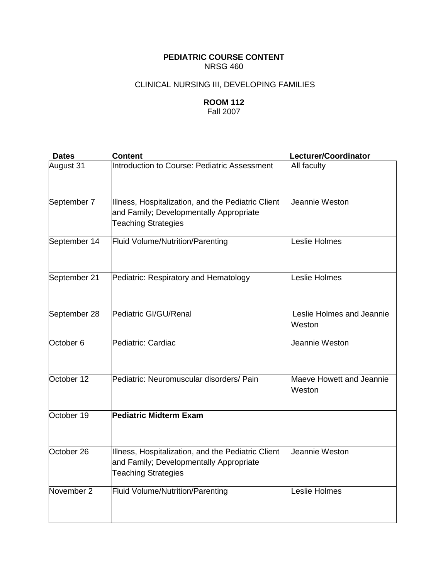## **PEDIATRIC COURSE CONTENT** NRSG 460

## CLINICAL NURSING III, DEVELOPING FAMILIES

# **ROOM 112**

Fall 2007

| <b>Dates</b>          | <b>Content</b>                                                                                                              | Lecturer/Coordinator                |
|-----------------------|-----------------------------------------------------------------------------------------------------------------------------|-------------------------------------|
| August 31             | Introduction to Course: Pediatric Assessment                                                                                | All faculty                         |
| September 7           | Illness, Hospitalization, and the Pediatric Client<br>and Family; Developmentally Appropriate<br><b>Teaching Strategies</b> | Jeannie Weston                      |
| September 14          | Fluid Volume/Nutrition/Parenting                                                                                            | Leslie Holmes                       |
| September 21          | Pediatric: Respiratory and Hematology                                                                                       | Leslie Holmes                       |
| September 28          | Pediatric GI/GU/Renal                                                                                                       | Leslie Holmes and Jeannie<br>Weston |
| October $6$           | Pediatric: Cardiac                                                                                                          | Jeannie Weston                      |
| October 12            | Pediatric: Neuromuscular disorders/ Pain                                                                                    | Maeve Howett and Jeannie<br>Weston  |
| October 19            | <b>Pediatric Midterm Exam</b>                                                                                               |                                     |
| October <sub>26</sub> | Illness, Hospitalization, and the Pediatric Client<br>and Family; Developmentally Appropriate<br><b>Teaching Strategies</b> | Jeannie Weston                      |
| November 2            | <b>Fluid Volume/Nutrition/Parenting</b>                                                                                     | Leslie Holmes                       |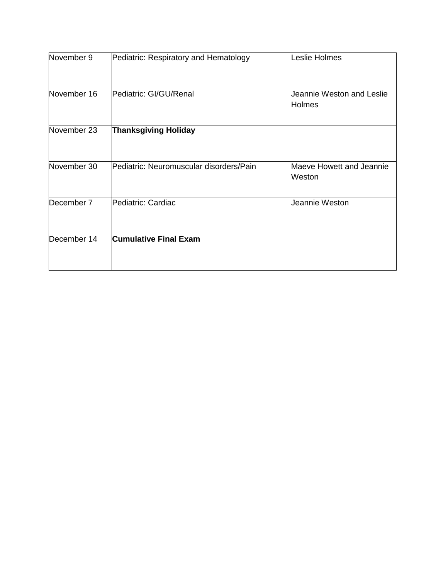| November 9  | Pediatric: Respiratory and Hematology   | Leslie Holmes                              |
|-------------|-----------------------------------------|--------------------------------------------|
| November 16 | Pediatric: GI/GU/Renal                  | Jeannie Weston and Leslie<br><b>Holmes</b> |
| November 23 | <b>Thanksgiving Holiday</b>             |                                            |
| November 30 | Pediatric: Neuromuscular disorders/Pain | Maeve Howett and Jeannie<br>Weston         |
| December 7  | Pediatric: Cardiac                      | Jeannie Weston                             |
| December 14 | <b>Cumulative Final Exam</b>            |                                            |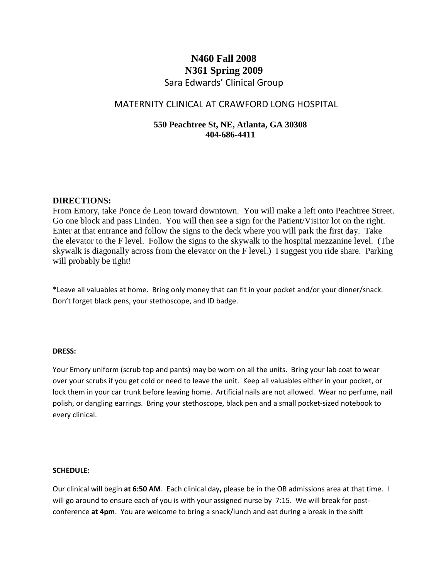# **N460 Fall 2008 N361 Spring 2009** Sara Edwards' Clinical Group

## MATERNITY CLINICAL AT CRAWFORD LONG HOSPITAL

## **550 Peachtree St, NE, Atlanta, GA 30308 404-686-4411**

### **DIRECTIONS:**

From Emory, take Ponce de Leon toward downtown. You will make a left onto Peachtree Street. Go one block and pass Linden. You will then see a sign for the Patient/Visitor lot on the right. Enter at that entrance and follow the signs to the deck where you will park the first day. Take the elevator to the F level. Follow the signs to the skywalk to the hospital mezzanine level. (The skywalk is diagonally across from the elevator on the F level.) I suggest you ride share. Parking will probably be tight!

\*Leave all valuables at home. Bring only money that can fit in your pocket and/or your dinner/snack. Don't forget black pens, your stethoscope, and ID badge.

### **DRESS:**

Your Emory uniform (scrub top and pants) may be worn on all the units. Bring your lab coat to wear over your scrubs if you get cold or need to leave the unit. Keep all valuables either in your pocket, or lock them in your car trunk before leaving home. Artificial nails are not allowed. Wear no perfume, nail polish, or dangling earrings. Bring your stethoscope, black pen and a small pocket-sized notebook to every clinical.

#### **SCHEDULE:**

Our clinical will begin **at 6:50 AM**. Each clinical day**,** please be in the OB admissions area at that time. I will go around to ensure each of you is with your assigned nurse by 7:15. We will break for postconference **at 4pm**. You are welcome to bring a snack/lunch and eat during a break in the shift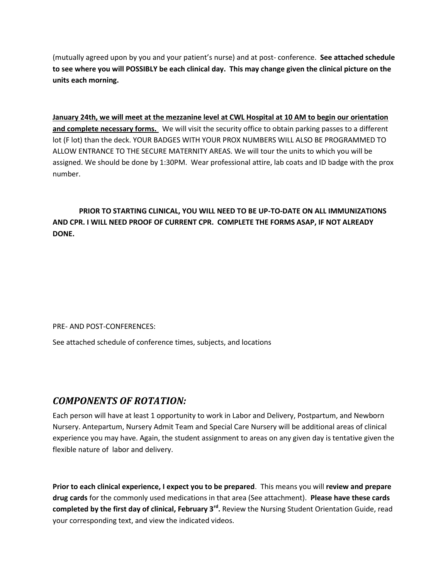(mutually agreed upon by you and your patient's nurse) and at post- conference. **See attached schedule to see where you will POSSIBLY be each clinical day. This may change given the clinical picture on the units each morning.**

**January 24th, we will meet at the mezzanine level at CWL Hospital at 10 AM to begin our orientation and complete necessary forms.** We will visit the security office to obtain parking passes to a different lot (F lot) than the deck. YOUR BADGES WITH YOUR PROX NUMBERS WILL ALSO BE PROGRAMMED TO ALLOW ENTRANCE TO THE SECURE MATERNITY AREAS. We will tour the units to which you will be assigned. We should be done by 1:30PM. Wear professional attire, lab coats and ID badge with the prox number.

## **PRIOR TO STARTING CLINICAL, YOU WILL NEED TO BE UP-TO-DATE ON ALL IMMUNIZATIONS AND CPR. I WILL NEED PROOF OF CURRENT CPR. COMPLETE THE FORMS ASAP, IF NOT ALREADY DONE.**

PRE- AND POST-CONFERENCES:

See attached schedule of conference times, subjects, and locations

# *COMPONENTS OF ROTATION:*

Each person will have at least 1 opportunity to work in Labor and Delivery, Postpartum, and Newborn Nursery. Antepartum, Nursery Admit Team and Special Care Nursery will be additional areas of clinical experience you may have. Again, the student assignment to areas on any given day is tentative given the flexible nature of labor and delivery.

**Prior to each clinical experience, I expect you to be prepared**. This means you will **review and prepare drug cards** for the commonly used medications in that area (See attachment). **Please have these cards completed by the first day of clinical, February 3rd .** Review the Nursing Student Orientation Guide, read your corresponding text, and view the indicated videos.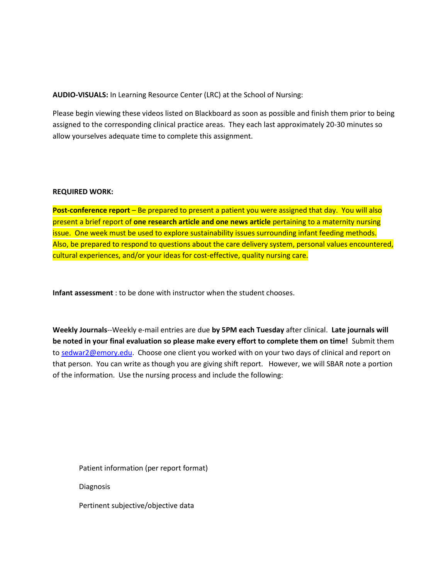**AUDIO-VISUALS:** In Learning Resource Center (LRC) at the School of Nursing:

Please begin viewing these videos listed on Blackboard as soon as possible and finish them prior to being assigned to the corresponding clinical practice areas. They each last approximately 20-30 minutes so allow yourselves adequate time to complete this assignment.

#### **REQUIRED WORK:**

**Post-conference report** – Be prepared to present a patient you were assigned that day. You will also present a brief report of **one research article and one news article** pertaining to a maternity nursing issue. One week must be used to explore sustainability issues surrounding infant feeding methods. Also, be prepared to respond to questions about the care delivery system, personal values encountered, cultural experiences, and/or your ideas for cost-effective, quality nursing care.

**Infant assessment** : to be done with instructor when the student chooses.

**Weekly Journals**--Weekly e-mail entries are due **by 5PM each Tuesday** after clinical. **Late journals will be noted in your final evaluation so please make every effort to complete them on time!** Submit them to [sedwar2@emory.edu.](mailto:sedwar2@emory.edu) Choose one client you worked with on your two days of clinical and report on that person. You can write as though you are giving shift report. However, we will SBAR note a portion of the information. Use the nursing process and include the following:

Patient information (per report format) Diagnosis

Pertinent subjective/objective data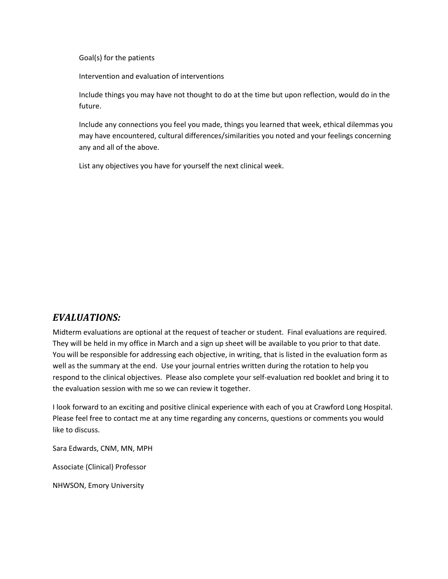Goal(s) for the patients

Intervention and evaluation of interventions

Include things you may have not thought to do at the time but upon reflection, would do in the future.

Include any connections you feel you made, things you learned that week, ethical dilemmas you may have encountered, cultural differences/similarities you noted and your feelings concerning any and all of the above.

List any objectives you have for yourself the next clinical week.

# *EVALUATIONS:*

Midterm evaluations are optional at the request of teacher or student. Final evaluations are required. They will be held in my office in March and a sign up sheet will be available to you prior to that date. You will be responsible for addressing each objective, in writing, that is listed in the evaluation form as well as the summary at the end. Use your journal entries written during the rotation to help you respond to the clinical objectives. Please also complete your self-evaluation red booklet and bring it to the evaluation session with me so we can review it together.

I look forward to an exciting and positive clinical experience with each of you at Crawford Long Hospital. Please feel free to contact me at any time regarding any concerns, questions or comments you would like to discuss.

Sara Edwards, CNM, MN, MPH

Associate (Clinical) Professor

NHWSON, Emory University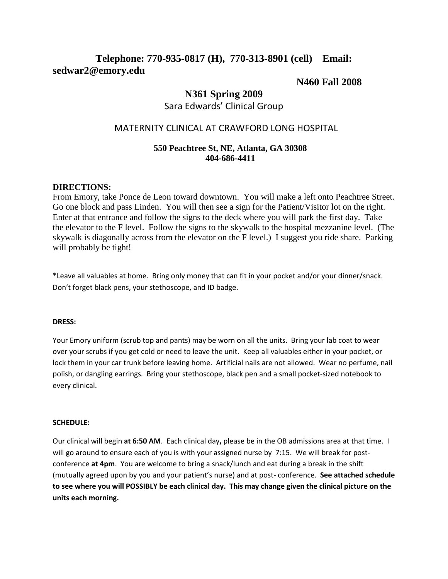# **Telephone: 770-935-0817 (H), 770-313-8901 (cell) Email: sedwar2@emory.edu**

## **N460 Fall 2008**

## **N361 Spring 2009**

## Sara Edwards' Clinical Group

## MATERNITY CLINICAL AT CRAWFORD LONG HOSPITAL

### **550 Peachtree St, NE, Atlanta, GA 30308 404-686-4411**

### **DIRECTIONS:**

From Emory, take Ponce de Leon toward downtown. You will make a left onto Peachtree Street. Go one block and pass Linden. You will then see a sign for the Patient/Visitor lot on the right. Enter at that entrance and follow the signs to the deck where you will park the first day. Take the elevator to the F level. Follow the signs to the skywalk to the hospital mezzanine level. (The skywalk is diagonally across from the elevator on the F level.) I suggest you ride share. Parking will probably be tight!

\*Leave all valuables at home. Bring only money that can fit in your pocket and/or your dinner/snack. Don't forget black pens, your stethoscope, and ID badge.

### **DRESS:**

Your Emory uniform (scrub top and pants) may be worn on all the units. Bring your lab coat to wear over your scrubs if you get cold or need to leave the unit. Keep all valuables either in your pocket, or lock them in your car trunk before leaving home. Artificial nails are not allowed. Wear no perfume, nail polish, or dangling earrings. Bring your stethoscope, black pen and a small pocket-sized notebook to every clinical.

#### **SCHEDULE:**

Our clinical will begin **at 6:50 AM**. Each clinical day**,** please be in the OB admissions area at that time. I will go around to ensure each of you is with your assigned nurse by 7:15. We will break for postconference **at 4pm**. You are welcome to bring a snack/lunch and eat during a break in the shift (mutually agreed upon by you and your patient's nurse) and at post- conference. **See attached schedule to see where you will POSSIBLY be each clinical day. This may change given the clinical picture on the units each morning.**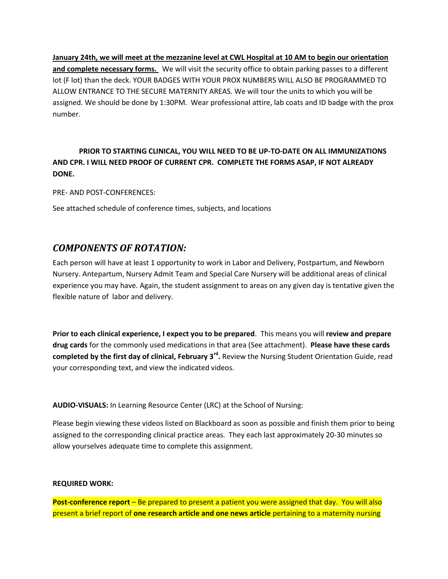**January 24th, we will meet at the mezzanine level at CWL Hospital at 10 AM to begin our orientation and complete necessary forms.** We will visit the security office to obtain parking passes to a different lot (F lot) than the deck. YOUR BADGES WITH YOUR PROX NUMBERS WILL ALSO BE PROGRAMMED TO ALLOW ENTRANCE TO THE SECURE MATERNITY AREAS. We will tour the units to which you will be assigned. We should be done by 1:30PM. Wear professional attire, lab coats and ID badge with the prox number.

## **PRIOR TO STARTING CLINICAL, YOU WILL NEED TO BE UP-TO-DATE ON ALL IMMUNIZATIONS AND CPR. I WILL NEED PROOF OF CURRENT CPR. COMPLETE THE FORMS ASAP, IF NOT ALREADY DONE.**

PRE- AND POST-CONFERENCES:

See attached schedule of conference times, subjects, and locations

# *COMPONENTS OF ROTATION:*

Each person will have at least 1 opportunity to work in Labor and Delivery, Postpartum, and Newborn Nursery. Antepartum, Nursery Admit Team and Special Care Nursery will be additional areas of clinical experience you may have. Again, the student assignment to areas on any given day is tentative given the flexible nature of labor and delivery.

**Prior to each clinical experience, I expect you to be prepared**. This means you will **review and prepare drug cards** for the commonly used medications in that area (See attachment). **Please have these cards completed by the first day of clinical, February 3rd .** Review the Nursing Student Orientation Guide, read your corresponding text, and view the indicated videos.

**AUDIO-VISUALS:** In Learning Resource Center (LRC) at the School of Nursing:

Please begin viewing these videos listed on Blackboard as soon as possible and finish them prior to being assigned to the corresponding clinical practice areas. They each last approximately 20-30 minutes so allow yourselves adequate time to complete this assignment.

### **REQUIRED WORK:**

**Post-conference report** – Be prepared to present a patient you were assigned that day. You will also present a brief report of **one research article and one news article** pertaining to a maternity nursing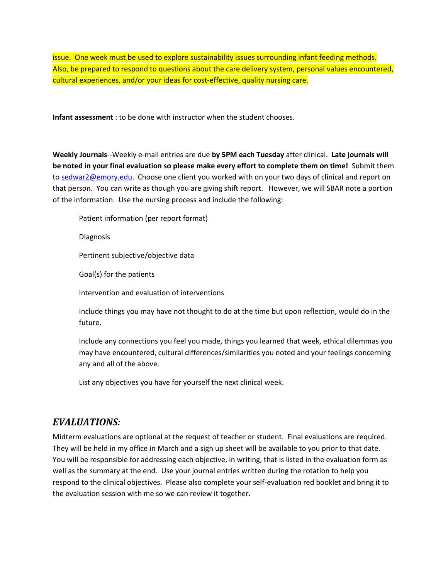issue. One week must be used to explore sustainability issues surrounding infant feeding methods. Also, be prepared to respond to questions about the care delivery system, personal values encountered, cultural experiences, and/or your ideas for cost-effective, quality nursing care.

**Infant assessment** : to be done with instructor when the student chooses.

**Weekly Journals**--Weekly e-mail entries are due **by 5PM each Tuesday** after clinical. **Late journals will be noted in your final evaluation so please make every effort to complete them on time!** Submit them to [sedwar2@emory.edu.](mailto:sedwar2@emory.edu) Choose one client you worked with on your two days of clinical and report on that person. You can write as though you are giving shift report. However, we will SBAR note a portion of the information. Use the nursing process and include the following:

Patient information (per report format)

Diagnosis

Pertinent subjective/objective data

Goal(s) for the patients

Intervention and evaluation of interventions

Include things you may have not thought to do at the time but upon reflection, would do in the future.

Include any connections you feel you made, things you learned that week, ethical dilemmas you may have encountered, cultural differences/similarities you noted and your feelings concerning any and all of the above.

List any objectives you have for yourself the next clinical week.

## *EVALUATIONS:*

Midterm evaluations are optional at the request of teacher or student. Final evaluations are required. They will be held in my office in March and a sign up sheet will be available to you prior to that date. You will be responsible for addressing each objective, in writing, that is listed in the evaluation form as well as the summary at the end. Use your journal entries written during the rotation to help you respond to the clinical objectives. Please also complete your self-evaluation red booklet and bring it to the evaluation session with me so we can review it together.